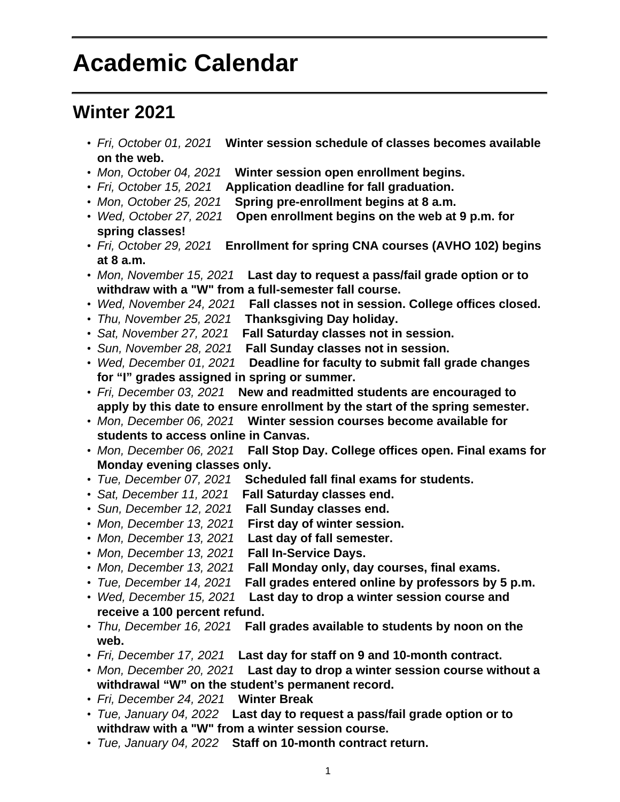## **Academic Calendar**

## **Winter 2021**

- Fri, October 01, 2021 **Winter session schedule of classes becomes available on the web.**
- Mon, October 04, 2021 **Winter session open enrollment begins.**
- Fri, October 15, 2021 **Application deadline for fall graduation.**
- Mon, October 25, 2021 **Spring pre-enrollment begins at 8 a.m.**
- Wed, October 27, 2021 **Open enrollment begins on the web at 9 p.m. for spring classes!**
- Fri, October 29, 2021 **Enrollment for spring CNA courses (AVHO 102) begins at 8 a.m.**
- Mon, November 15, 2021 **Last day to request a pass/fail grade option or to withdraw with a "W" from a full-semester fall course.**
- Wed, November 24, 2021 **Fall classes not in session. College offices closed.**
- Thu, November 25, 2021 **Thanksgiving Day holiday.**
- Sat, November 27, 2021 **Fall Saturday classes not in session.**
- Sun, November 28, 2021 **Fall Sunday classes not in session.**
- Wed, December 01, 2021 **Deadline for faculty to submit fall grade changes for "I" grades assigned in spring or summer.**
- Fri, December 03, 2021 **New and readmitted students are encouraged to apply by this date to ensure enrollment by the start of the spring semester.**
- Mon, December 06, 2021 **Winter session courses become available for students to access online in Canvas.**
- Mon, December 06, 2021 **Fall Stop Day. College offices open. Final exams for Monday evening classes only.**
- Tue, December 07, 2021 **Scheduled fall final exams for students.**
- Sat, December 11, 2021 **Fall Saturday classes end.**
- Sun, December 12, 2021 **Fall Sunday classes end.**
- Mon, December 13, 2021 **First day of winter session.**
- Mon, December 13, 2021 **Last day of fall semester.**
- Mon, December 13, 2021 **Fall In-Service Days.**
- Mon, December 13, 2021 **Fall Monday only, day courses, final exams.**
- Tue, December 14, 2021 **Fall grades entered online by professors by 5 p.m.**
- Wed, December 15, 2021 **Last day to drop a winter session course and receive a 100 percent refund.**
- Thu, December 16, 2021 **Fall grades available to students by noon on the web.**
- Fri, December 17, 2021 **Last day for staff on 9 and 10-month contract.**
- Mon, December 20, 2021 **Last day to drop a winter session course without a withdrawal "W" on the student's permanent record.**
- Fri, December 24, 2021 **Winter Break**
- Tue, January 04, 2022 **Last day to request a pass/fail grade option or to withdraw with a "W" from a winter session course.**
- Tue, January 04, 2022 **Staff on 10-month contract return.**